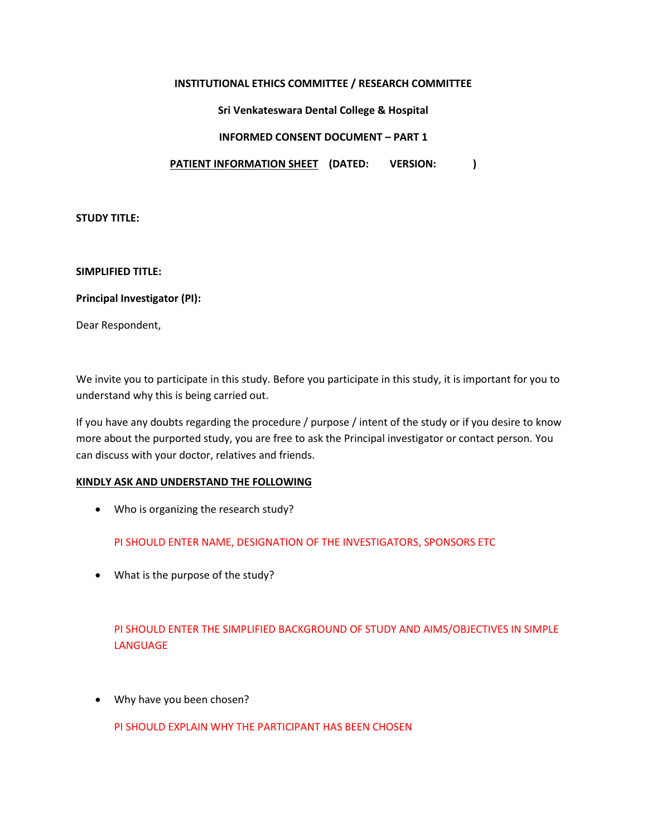## **INSTITUTIONAL ETHICS COMMITTEE / RESEARCH COMMITTEE**

## **Sri Venkateswara Dental College & Hospital**

## **INFORMED CONSENT DOCUMENT – PART 1**

## **PATIENT INFORMATION SHEET (DATED: VERSION: )**

## **STUDY TITLE:**

## **SIMPLIFIED TITLE:**

## **Principal Investigator (PI):**

Dear Respondent,

We invite you to participate in this study. Before you participate in this study, it is important for you to understand why this is being carried out.

If you have any doubts regarding the procedure / purpose / intent of the study or if you desire to know more about the purported study, you are free to ask the Principal investigator or contact person. You can discuss with your doctor, relatives and friends.

## **KINDLY ASK AND UNDERSTAND THE FOLLOWING**

Who is organizing the research study?

PI SHOULD ENTER NAME, DESIGNATION OF THE INVESTIGATORS, SPONSORS ETC

What is the purpose of the study?

# PI SHOULD ENTER THE SIMPLIFIED BACKGROUND OF STUDY AND AIMS/OBJECTIVES IN SIMPLE LANGUAGE

Why have you been chosen?

PI SHOULD EXPLAIN WHY THE PARTICIPANT HAS BEEN CHOSEN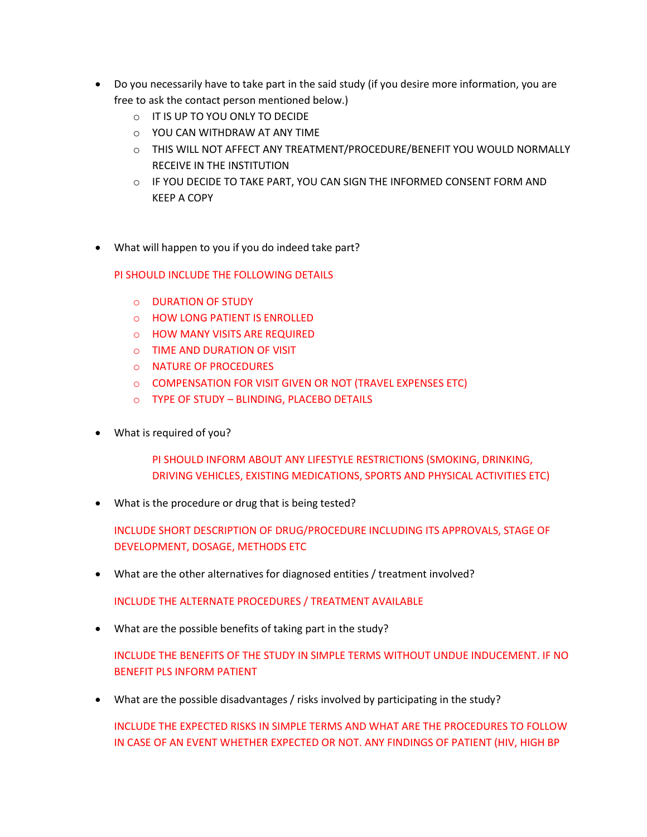- Do you necessarily have to take part in the said study (if you desire more information, you are free to ask the contact person mentioned below.)
	- o IT IS UP TO YOU ONLY TO DECIDE
	- o YOU CAN WITHDRAW AT ANY TIME
	- o THIS WILL NOT AFFECT ANY TREATMENT/PROCEDURE/BENEFIT YOU WOULD NORMALLY RECEIVE IN THE INSTITUTION
	- $\circ$  IF YOU DECIDE TO TAKE PART, YOU CAN SIGN THE INFORMED CONSENT FORM AND KEEP A COPY
- What will happen to you if you do indeed take part?

PI SHOULD INCLUDE THE FOLLOWING DETAILS

- o DURATION OF STUDY
- o HOW LONG PATIENT IS ENROLLED
- o HOW MANY VISITS ARE REQUIRED
- o TIME AND DURATION OF VISIT
- o NATURE OF PROCEDURES
- o COMPENSATION FOR VISIT GIVEN OR NOT (TRAVEL EXPENSES ETC)
- o TYPE OF STUDY BLINDING, PLACEBO DETAILS
- What is required of you?

PI SHOULD INFORM ABOUT ANY LIFESTYLE RESTRICTIONS (SMOKING, DRINKING, DRIVING VEHICLES, EXISTING MEDICATIONS, SPORTS AND PHYSICAL ACTIVITIES ETC)

What is the procedure or drug that is being tested?

INCLUDE SHORT DESCRIPTION OF DRUG/PROCEDURE INCLUDING ITS APPROVALS, STAGE OF DEVELOPMENT, DOSAGE, METHODS ETC

What are the other alternatives for diagnosed entities / treatment involved?

INCLUDE THE ALTERNATE PROCEDURES / TREATMENT AVAILABLE

What are the possible benefits of taking part in the study?

INCLUDE THE BENEFITS OF THE STUDY IN SIMPLE TERMS WITHOUT UNDUE INDUCEMENT. IF NO BENEFIT PLS INFORM PATIENT

What are the possible disadvantages / risks involved by participating in the study?

INCLUDE THE EXPECTED RISKS IN SIMPLE TERMS AND WHAT ARE THE PROCEDURES TO FOLLOW IN CASE OF AN EVENT WHETHER EXPECTED OR NOT. ANY FINDINGS OF PATIENT (HIV, HIGH BP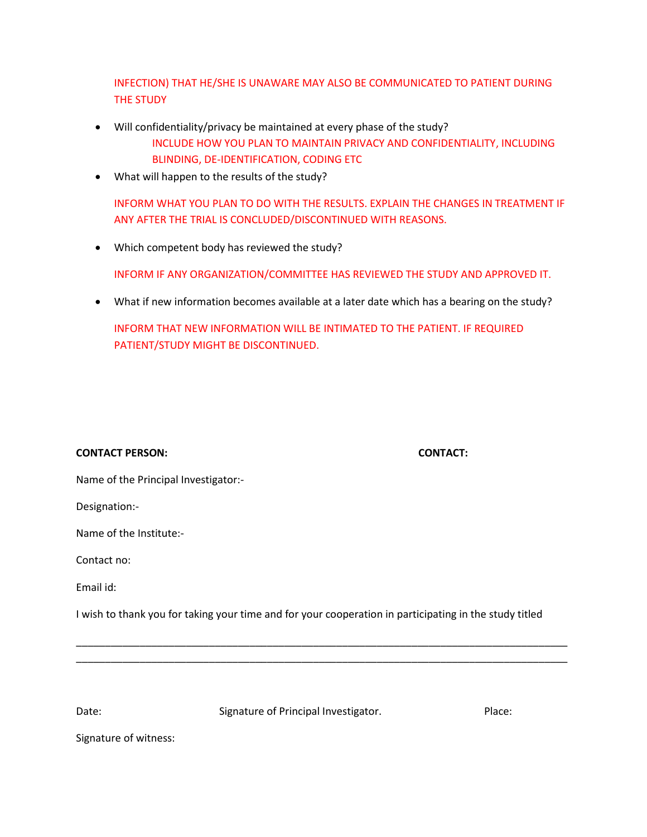INFECTION) THAT HE/SHE IS UNAWARE MAY ALSO BE COMMUNICATED TO PATIENT DURING THE STUDY

Will confidentiality/privacy be maintained at every phase of the study?

INCLUDE HOW YOU PLAN TO MAINTAIN PRIVACY AND CONFIDENTIALITY, INCLUDING BLINDING, DE-IDENTIFICATION, CODING ETC

What will happen to the results of the study?

INFORM WHAT YOU PLAN TO DO WITH THE RESULTS. EXPLAIN THE CHANGES IN TREATMENT IF ANY AFTER THE TRIAL IS CONCLUDED/DISCONTINUED WITH REASONS.

• Which competent body has reviewed the study?

INFORM IF ANY ORGANIZATION/COMMITTEE HAS REVIEWED THE STUDY AND APPROVED IT.

What if new information becomes available at a later date which has a bearing on the study?

INFORM THAT NEW INFORMATION WILL BE INTIMATED TO THE PATIENT. IF REQUIRED PATIENT/STUDY MIGHT BE DISCONTINUED.

## **CONTACT PERSON: CONTACT:**

Name of the Principal Investigator:-

Designation:-

Name of the Institute:-

Contact no:

Email id:

I wish to thank you for taking your time and for your cooperation in participating in the study titled

\_\_\_\_\_\_\_\_\_\_\_\_\_\_\_\_\_\_\_\_\_\_\_\_\_\_\_\_\_\_\_\_\_\_\_\_\_\_\_\_\_\_\_\_\_\_\_\_\_\_\_\_\_\_\_\_\_\_\_\_\_\_\_\_\_\_\_\_\_\_\_\_\_\_\_\_\_\_\_\_\_\_\_\_\_ \_\_\_\_\_\_\_\_\_\_\_\_\_\_\_\_\_\_\_\_\_\_\_\_\_\_\_\_\_\_\_\_\_\_\_\_\_\_\_\_\_\_\_\_\_\_\_\_\_\_\_\_\_\_\_\_\_\_\_\_\_\_\_\_\_\_\_\_\_\_\_\_\_\_\_\_\_\_\_\_\_\_\_\_\_

Date: Signature of Principal Investigator. Place: Place:

Signature of witness: